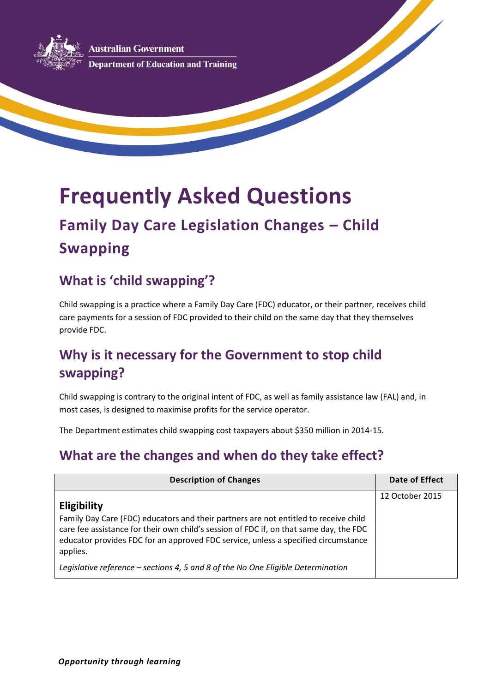**Australian Government Department of Education and Training** 

# **Frequently Asked Questions**

## **Family Day Care Legislation Changes – Child Swapping**

## **What is 'child swapping'?**

Child swapping is a practice where a Family Day Care (FDC) educator, or their partner, receives child care payments for a session of FDC provided to their child on the same day that they themselves provide FDC.

## **Why is it necessary for the Government to stop child swapping?**

Child swapping is contrary to the original intent of FDC, as well as family assistance law (FAL) and, in most cases, is designed to maximise profits for the service operator.

The Department estimates child swapping cost taxpayers about \$350 million in 2014-15.

## **What are the changes and when do they take effect?**

| <b>Description of Changes</b>                                                                                                                                                                                                                                                                          | Date of Effect  |
|--------------------------------------------------------------------------------------------------------------------------------------------------------------------------------------------------------------------------------------------------------------------------------------------------------|-----------------|
| <b>Eligibility</b><br>Family Day Care (FDC) educators and their partners are not entitled to receive child<br>care fee assistance for their own child's session of FDC if, on that same day, the FDC<br>educator provides FDC for an approved FDC service, unless a specified circumstance<br>applies. | 12 October 2015 |
| Legislative reference - sections 4, 5 and 8 of the No One Eligible Determination                                                                                                                                                                                                                       |                 |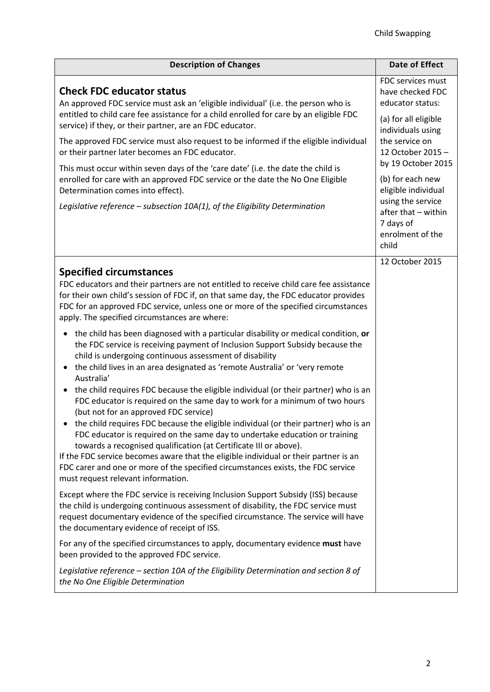| <b>Description of Changes</b>                                                                                                                                                                                                                                                                                                                                                                                                                                                                                                                                                                                                                                                                                                                                                                                                                                                                                                                                                                                             | <b>Date of Effect</b>                                                                                                                                                                                                                                                                                |
|---------------------------------------------------------------------------------------------------------------------------------------------------------------------------------------------------------------------------------------------------------------------------------------------------------------------------------------------------------------------------------------------------------------------------------------------------------------------------------------------------------------------------------------------------------------------------------------------------------------------------------------------------------------------------------------------------------------------------------------------------------------------------------------------------------------------------------------------------------------------------------------------------------------------------------------------------------------------------------------------------------------------------|------------------------------------------------------------------------------------------------------------------------------------------------------------------------------------------------------------------------------------------------------------------------------------------------------|
| <b>Check FDC educator status</b><br>An approved FDC service must ask an 'eligible individual' (i.e. the person who is<br>entitled to child care fee assistance for a child enrolled for care by an eligible FDC<br>service) if they, or their partner, are an FDC educator.<br>The approved FDC service must also request to be informed if the eligible individual<br>or their partner later becomes an FDC educator.<br>This must occur within seven days of the 'care date' (i.e. the date the child is<br>enrolled for care with an approved FDC service or the date the No One Eligible<br>Determination comes into effect).<br>Legislative reference $-$ subsection 10A(1), of the Eligibility Determination                                                                                                                                                                                                                                                                                                        | FDC services must<br>have checked FDC<br>educator status:<br>(a) for all eligible<br>individuals using<br>the service on<br>12 October 2015 -<br>by 19 October 2015<br>(b) for each new<br>eligible individual<br>using the service<br>after that - within<br>7 days of<br>enrolment of the<br>child |
| <b>Specified circumstances</b><br>FDC educators and their partners are not entitled to receive child care fee assistance<br>for their own child's session of FDC if, on that same day, the FDC educator provides<br>FDC for an approved FDC service, unless one or more of the specified circumstances<br>apply. The specified circumstances are where:                                                                                                                                                                                                                                                                                                                                                                                                                                                                                                                                                                                                                                                                   | 12 October 2015                                                                                                                                                                                                                                                                                      |
| the child has been diagnosed with a particular disability or medical condition, or<br>٠<br>the FDC service is receiving payment of Inclusion Support Subsidy because the<br>child is undergoing continuous assessment of disability<br>the child lives in an area designated as 'remote Australia' or 'very remote<br>$\bullet$<br>Australia'<br>the child requires FDC because the eligible individual (or their partner) who is an<br>FDC educator is required on the same day to work for a minimum of two hours<br>(but not for an approved FDC service)<br>the child requires FDC because the eligible individual (or their partner) who is an<br>FDC educator is required on the same day to undertake education or training<br>towards a recognised qualification (at Certificate III or above).<br>If the FDC service becomes aware that the eligible individual or their partner is an<br>FDC carer and one or more of the specified circumstances exists, the FDC service<br>must request relevant information. |                                                                                                                                                                                                                                                                                                      |
| Except where the FDC service is receiving Inclusion Support Subsidy (ISS) because<br>the child is undergoing continuous assessment of disability, the FDC service must<br>request documentary evidence of the specified circumstance. The service will have<br>the documentary evidence of receipt of ISS.                                                                                                                                                                                                                                                                                                                                                                                                                                                                                                                                                                                                                                                                                                                |                                                                                                                                                                                                                                                                                                      |
| For any of the specified circumstances to apply, documentary evidence must have<br>been provided to the approved FDC service.<br>Legislative reference - section 10A of the Eligibility Determination and section 8 of<br>the No One Eligible Determination                                                                                                                                                                                                                                                                                                                                                                                                                                                                                                                                                                                                                                                                                                                                                               |                                                                                                                                                                                                                                                                                                      |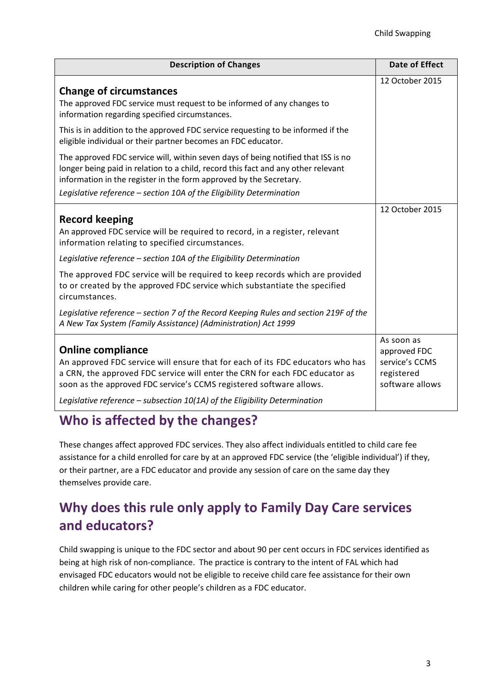| <b>Description of Changes</b>                                                                                                                                                                                                                                                                                                                                                                                                                                                                                                                                               | <b>Date of Effect</b>                                                         |
|-----------------------------------------------------------------------------------------------------------------------------------------------------------------------------------------------------------------------------------------------------------------------------------------------------------------------------------------------------------------------------------------------------------------------------------------------------------------------------------------------------------------------------------------------------------------------------|-------------------------------------------------------------------------------|
| <b>Change of circumstances</b><br>The approved FDC service must request to be informed of any changes to<br>information regarding specified circumstances.                                                                                                                                                                                                                                                                                                                                                                                                                  | 12 October 2015                                                               |
| This is in addition to the approved FDC service requesting to be informed if the<br>eligible individual or their partner becomes an FDC educator.                                                                                                                                                                                                                                                                                                                                                                                                                           |                                                                               |
| The approved FDC service will, within seven days of being notified that ISS is no<br>longer being paid in relation to a child, record this fact and any other relevant<br>information in the register in the form approved by the Secretary.                                                                                                                                                                                                                                                                                                                                |                                                                               |
| Legislative reference - section 10A of the Eligibility Determination                                                                                                                                                                                                                                                                                                                                                                                                                                                                                                        |                                                                               |
| <b>Record keeping</b><br>An approved FDC service will be required to record, in a register, relevant<br>information relating to specified circumstances.<br>Legislative reference - section 10A of the Eligibility Determination<br>The approved FDC service will be required to keep records which are provided<br>to or created by the approved FDC service which substantiate the specified<br>circumstances.<br>Legislative reference - section 7 of the Record Keeping Rules and section 219F of the<br>A New Tax System (Family Assistance) (Administration) Act 1999 | 12 October 2015                                                               |
| <b>Online compliance</b><br>An approved FDC service will ensure that for each of its FDC educators who has<br>a CRN, the approved FDC service will enter the CRN for each FDC educator as<br>soon as the approved FDC service's CCMS registered software allows.<br>Legislative reference - subsection 10(1A) of the Eligibility Determination                                                                                                                                                                                                                              | As soon as<br>approved FDC<br>service's CCMS<br>registered<br>software allows |

## **Who is affected by the changes?**

These changes affect approved FDC services. They also affect individuals entitled to child care fee assistance for a child enrolled for care by at an approved FDC service (the 'eligible individual') if they, or their partner, are a FDC educator and provide any session of care on the same day they themselves provide care.

## **Why does this rule only apply to Family Day Care services and educators?**

Child swapping is unique to the FDC sector and about 90 per cent occurs in FDC services identified as being at high risk of non-compliance. The practice is contrary to the intent of FAL which had envisaged FDC educators would not be eligible to receive child care fee assistance for their own children while caring for other people's children as a FDC educator.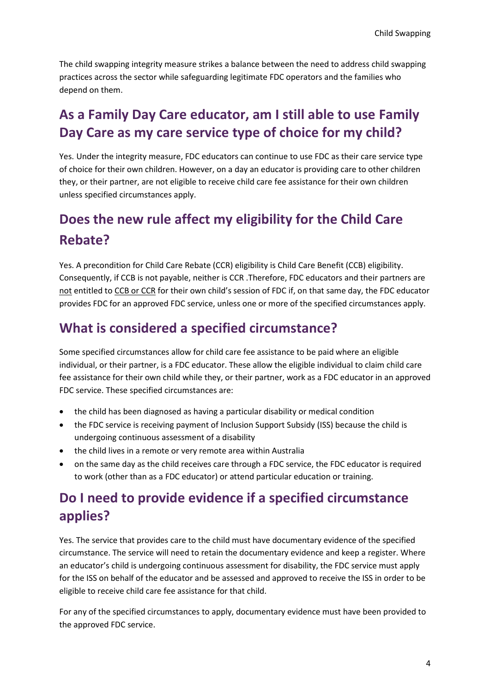The child swapping integrity measure strikes a balance between the need to address child swapping practices across the sector while safeguarding legitimate FDC operators and the families who depend on them.

## **As a Family Day Care educator, am I still able to use Family Day Care as my care service type of choice for my child?**

Yes. Under the integrity measure, FDC educators can continue to use FDC as their care service type of choice for their own children. However, on a day an educator is providing care to other children they, or their partner, are not eligible to receive child care fee assistance for their own children unless specified circumstances apply.

## **Does the new rule affect my eligibility for the Child Care Rebate?**

Yes. A precondition for Child Care Rebate (CCR) eligibility is Child Care Benefit (CCB) eligibility. Consequently, if CCB is not payable, neither is CCR .Therefore, FDC educators and their partners are not entitled to CCB or CCR for their own child's session of FDC if, on that same day, the FDC educator provides FDC for an approved FDC service, unless one or more of the specified circumstances apply.

#### **What is considered a specified circumstance?**

Some specified circumstances allow for child care fee assistance to be paid where an eligible individual, or their partner, is a FDC educator. These allow the eligible individual to claim child care fee assistance for their own child while they, or their partner, work as a FDC educator in an approved FDC service. These specified circumstances are:

- the child has been diagnosed as having a particular disability or medical condition
- the FDC service is receiving payment of Inclusion Support Subsidy (ISS) because the child is undergoing continuous assessment of a disability
- the child lives in a remote or very remote area within Australia
- on the same day as the child receives care through a FDC service, the FDC educator is required to work (other than as a FDC educator) or attend particular education or training.

## **Do I need to provide evidence if a specified circumstance applies?**

Yes. The service that provides care to the child must have documentary evidence of the specified circumstance. The service will need to retain the documentary evidence and keep a register. Where an educator's child is undergoing continuous assessment for disability, the FDC service must apply for the ISS on behalf of the educator and be assessed and approved to receive the ISS in order to be eligible to receive child care fee assistance for that child.

For any of the specified circumstances to apply, documentary evidence must have been provided to the approved FDC service.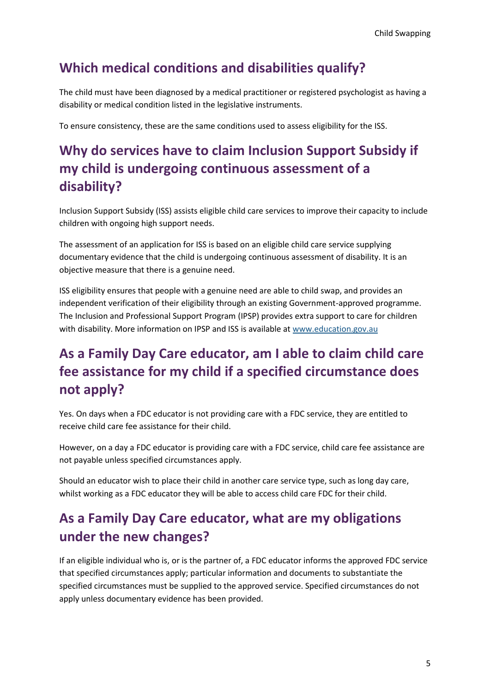#### **Which medical conditions and disabilities qualify?**

The child must have been diagnosed by a medical practitioner or registered psychologist as having a disability or medical condition listed in the legislative instruments.

To ensure consistency, these are the same conditions used to assess eligibility for the ISS.

## **Why do services have to claim Inclusion Support Subsidy if my child is undergoing continuous assessment of a disability?**

Inclusion Support Subsidy (ISS) assists eligible child care services to improve their capacity to include children with ongoing high support needs.

The assessment of an application for ISS is based on an eligible child care service supplying documentary evidence that the child is undergoing continuous assessment of disability. It is an objective measure that there is a genuine need.

ISS eligibility ensures that people with a genuine need are able to child swap, and provides an independent verification of their eligibility through an existing Government-approved programme. The Inclusion and Professional Support Program (IPSP) provides extra support to care for children with disability. More information on IPSP and ISS is available at [www.education.gov.au](https://docs.education.gov.au/collections/inclusion-and-professional-support-program-fact-sheets)

## **As a Family Day Care educator, am I able to claim child care fee assistance for my child if a specified circumstance does not apply?**

Yes. On days when a FDC educator is not providing care with a FDC service, they are entitled to receive child care fee assistance for their child.

However, on a day a FDC educator is providing care with a FDC service, child care fee assistance are not payable unless specified circumstances apply.

Should an educator wish to place their child in another care service type, such as long day care, whilst working as a FDC educator they will be able to access child care FDC for their child.

## **As a Family Day Care educator, what are my obligations under the new changes?**

If an eligible individual who is, or is the partner of, a FDC educator informs the approved FDC service that specified circumstances apply; particular information and documents to substantiate the specified circumstances must be supplied to the approved service. Specified circumstances do not apply unless documentary evidence has been provided.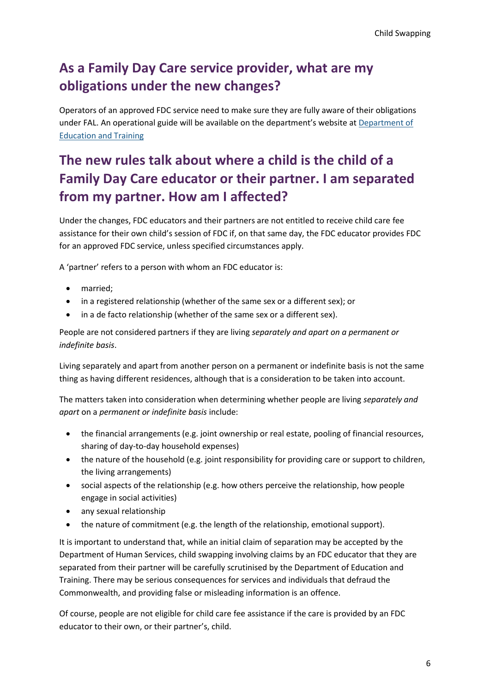## **As a Family Day Care service provider, what are my obligations under the new changes?**

Operators of an approved FDC service need to make sure they are fully aware of their obligations under FAL. An operational guide will be available on the department's website at [Department of](https://www.education.gov.au/family-day-care)  [Education and Training](https://www.education.gov.au/family-day-care)

## **The new rules talk about where a child is the child of a Family Day Care educator or their partner. I am separated from my partner. How am I affected?**

Under the changes, FDC educators and their partners are not entitled to receive child care fee assistance for their own child's session of FDC if, on that same day, the FDC educator provides FDC for an approved FDC service, unless specified circumstances apply.

A 'partner' refers to a person with whom an FDC educator is:

- married;
- in a registered relationship (whether of the same sex or a different sex); or
- in a de facto relationship (whether of the same sex or a different sex).

People are not considered partners if they are living *separately and apart on a permanent or indefinite basis*.

Living separately and apart from another person on a permanent or indefinite basis is not the same thing as having different residences, although that is a consideration to be taken into account.

The matters taken into consideration when determining whether people are living *separately and apart* on a *permanent or indefinite basis* include:

- the financial arrangements (e.g. joint ownership or real estate, pooling of financial resources, sharing of day-to-day household expenses)
- the nature of the household (e.g. joint responsibility for providing care or support to children, the living arrangements)
- social aspects of the relationship (e.g. how others perceive the relationship, how people engage in social activities)
- any sexual relationship
- the nature of commitment (e.g. the length of the relationship, emotional support).

It is important to understand that, while an initial claim of separation may be accepted by the Department of Human Services, child swapping involving claims by an FDC educator that they are separated from their partner will be carefully scrutinised by the Department of Education and Training. There may be serious consequences for services and individuals that defraud the Commonwealth, and providing false or misleading information is an offence.

Of course, people are not eligible for child care fee assistance if the care is provided by an FDC educator to their own, or their partner's, child.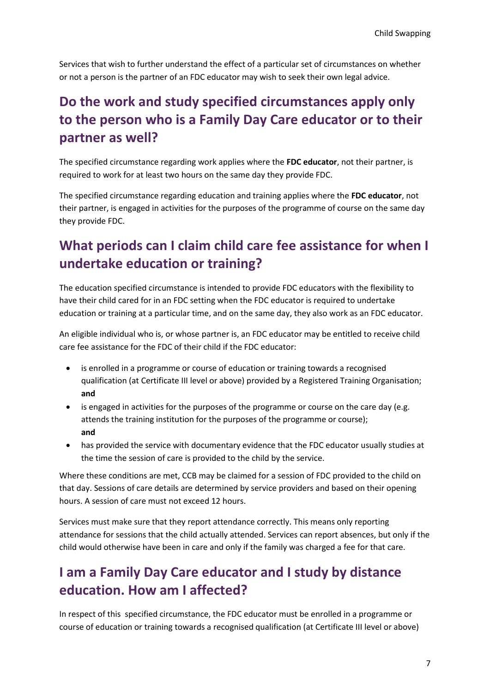Services that wish to further understand the effect of a particular set of circumstances on whether or not a person is the partner of an FDC educator may wish to seek their own legal advice.

## **Do the work and study specified circumstances apply only to the person who is a Family Day Care educator or to their partner as well?**

The specified circumstance regarding work applies where the **FDC educator**, not their partner, is required to work for at least two hours on the same day they provide FDC.

The specified circumstance regarding education and training applies where the **FDC educator**, not their partner, is engaged in activities for the purposes of the programme of course on the same day they provide FDC.

## **What periods can I claim child care fee assistance for when I undertake education or training?**

The education specified circumstance is intended to provide FDC educators with the flexibility to have their child cared for in an FDC setting when the FDC educator is required to undertake education or training at a particular time, and on the same day, they also work as an FDC educator.

An eligible individual who is, or whose partner is, an FDC educator may be entitled to receive child care fee assistance for the FDC of their child if the FDC educator:

- is enrolled in a programme or course of education or training towards a recognised qualification (at Certificate III level or above) provided by a Registered Training Organisation; **and**
- is engaged in activities for the purposes of the programme or course on the care day (e.g. attends the training institution for the purposes of the programme or course); **and**
- has provided the service with documentary evidence that the FDC educator usually studies at the time the session of care is provided to the child by the service.

Where these conditions are met, CCB may be claimed for a session of FDC provided to the child on that day. Sessions of care details are determined by service providers and based on their opening hours. A session of care must not exceed 12 hours.

Services must make sure that they report attendance correctly. This means only reporting attendance for sessions that the child actually attended. Services can report absences, but only if the child would otherwise have been in care and only if the family was charged a fee for that care.

## **I am a Family Day Care educator and I study by distance education. How am I affected?**

In respect of this specified circumstance, the FDC educator must be enrolled in a programme or course of education or training towards a recognised qualification (at Certificate III level or above)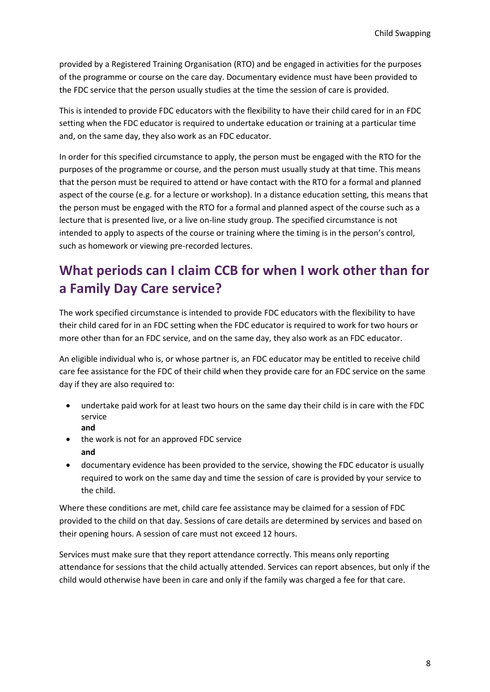provided by a Registered Training Organisation (RTO) and be engaged in activities for the purposes of the programme or course on the care day. Documentary evidence must have been provided to the FDC service that the person usually studies at the time the session of care is provided.

This is intended to provide FDC educators with the flexibility to have their child cared for in an FDC setting when the FDC educator is required to undertake education or training at a particular time and, on the same day, they also work as an FDC educator.

In order for this specified circumstance to apply, the person must be engaged with the RTO for the purposes of the programme or course, and the person must usually study at that time. This means that the person must be required to attend or have contact with the RTO for a formal and planned aspect of the course (e.g. for a lecture or workshop). In a distance education setting, this means that the person must be engaged with the RTO for a formal and planned aspect of the course such as a lecture that is presented live, or a live on-line study group. The specified circumstance is not intended to apply to aspects of the course or training where the timing is in the person's control, such as homework or viewing pre-recorded lectures.

## **What periods can I claim CCB for when I work other than for a Family Day Care service?**

The work specified circumstance is intended to provide FDC educators with the flexibility to have their child cared for in an FDC setting when the FDC educator is required to work for two hours or more other than for an FDC service, and on the same day, they also work as an FDC educator.

An eligible individual who is, or whose partner is, an FDC educator may be entitled to receive child care fee assistance for the FDC of their child when they provide care for an FDC service on the same day if they are also required to:

- undertake paid work for at least two hours on the same day their child is in care with the FDC service **and**
- the work is not for an approved FDC service **and**
- documentary evidence has been provided to the service, showing the FDC educator is usually required to work on the same day and time the session of care is provided by your service to the child.

Where these conditions are met, child care fee assistance may be claimed for a session of FDC provided to the child on that day. Sessions of care details are determined by services and based on their opening hours. A session of care must not exceed 12 hours.

Services must make sure that they report attendance correctly. This means only reporting attendance for sessions that the child actually attended. Services can report absences, but only if the child would otherwise have been in care and only if the family was charged a fee for that care.